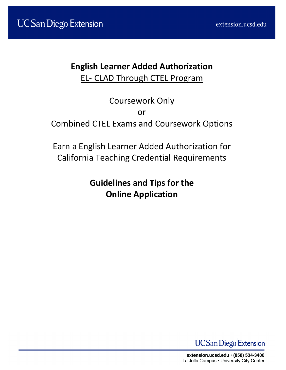# **English Learner Added Authorization** EL- CLAD Through CTEL Program

Coursework Only or Combined CTEL Exams and Coursework Options

Earn a English Learner Added Authorization for California Teaching Credential Requirements

> **Guidelines and Tips for the Online Application**

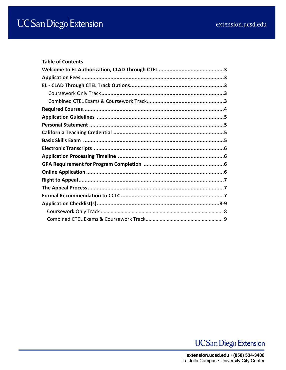| <b>Table of Contents</b> |  |  |  |
|--------------------------|--|--|--|
|                          |  |  |  |
|                          |  |  |  |
|                          |  |  |  |
|                          |  |  |  |
|                          |  |  |  |
|                          |  |  |  |
|                          |  |  |  |
|                          |  |  |  |
|                          |  |  |  |
|                          |  |  |  |
|                          |  |  |  |
|                          |  |  |  |
|                          |  |  |  |
|                          |  |  |  |
|                          |  |  |  |
|                          |  |  |  |
|                          |  |  |  |
|                          |  |  |  |
|                          |  |  |  |
|                          |  |  |  |

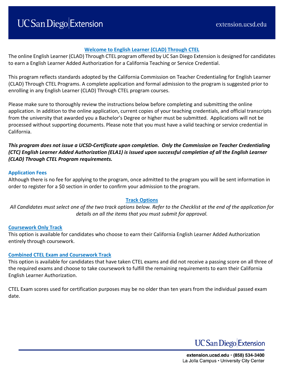### **Welcome to English Learner (CLAD) Through CTEL**

The online English Learner (CLAD) Through CTEL program offered by UC San Diego Extension is designed for candidates to earn a English Learner Added Authorization for a California Teaching or Service Credential.

This program reflects standards adopted by the California Commission on Teacher Credentialing for English Learner (CLAD) Through CTEL Programs. A complete application and formal admission to the program is suggested prior to enrolling in any English Learner (CLAD) Through CTEL program courses.

Please make sure to thoroughly review the instructions below before completing and submitting the online application. In addition to the online application, current copies of your teaching credentials, and official transcripts from the university that awarded you a Bachelor's Degree or higher must be submitted. Applications will not be processed without supporting documents. Please note that you must have a valid teaching or service credential in California.

*This program does not issue a UCSD-Certificate upon completion. Only the Commission on Teacher Credentialing (CTC) English Learner Added Authorization (ELA1) is issued upon successful completion of all the English Learner (CLAD) Through CTEL Program requirements.*

#### **Application Fees**

Although there is no fee for applying to the program, once admitted to the program you will be sent information in order to register for a \$0 section in order to confirm your admission to the program.

#### **Track Options**

*All Candidates must select one of the two track options below. Refer to the Checklist at the end of the application for details on all the items that you must submit for approval.*

#### **Coursework Only Track**

This option is available for candidates who choose to earn their California English Learner Added Authorization entirely through coursework.

#### **Combined CTEL Exam and Coursework Track**

This option is available for candidates that have taken CTEL exams and did not receive a passing score on all three of the required exams and choose to take coursework to fulfill the remaining requirements to earn their California English Learner Authorization.

CTEL Exam scores used for certification purposes may be no older than ten years from the individual passed exam date.

**UC** San Diego Extension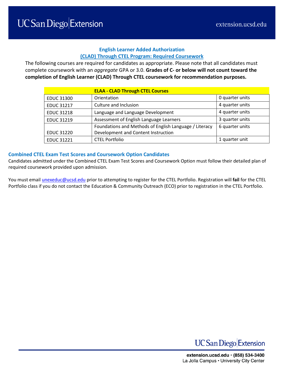# **English Learner Added Authorization (CLAD) Through CTEL Program: Required Coursework**

The following courses are required for candidates as appropriate. Please note that all candidates must complete coursework with an *aggregate* GPA or 3.0. **Grades of C- or below will not count toward the completion of English Learner (CLAD) Through CTEL coursework for recommendation purposes.**

|                   | <b>ELAA - CLAD Through CTEL Courses</b>                |                 |
|-------------------|--------------------------------------------------------|-----------------|
| <b>EDUC 31300</b> | Orientation                                            | 0 quarter units |
| <b>EDUC 31217</b> | Culture and Inclusion                                  | 4 quarter units |
| <b>EDUC 31218</b> | Language and Language Development                      | 4 quarter units |
| <b>EDUC 31219</b> | Assessment of English Language Learners                | 3 quarter units |
|                   | Foundations and Methods of English Language / Literacy | 6 quarter units |
| <b>EDUC 31220</b> | Development and Content Instruction                    |                 |
| <b>EDUC 31221</b> | <b>CTEL Portfolio</b>                                  | 1 quarter unit  |

#### **Combined CTEL Exam Test Scores and Coursework Option Candidates**

Candidates admitted under the Combined CTEL Exam Test Scores and Coursework Option must follow their detailed plan of required coursework provided upon admission.

You must emai[l unexeduc@ucsd.edu](mailto:unexeduc@ucsd.edu) prior to attempting to register for the CTEL Portfolio. Registration will **fail** for the CTEL Portfolio class if you do not contact the Education & Community Outreach (ECO) prior to registration in the CTEL Portfolio.

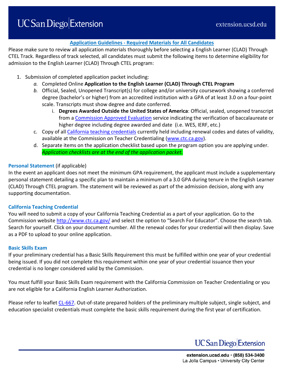# **Application Guidelines - Required Materials for All Candidates**

Please make sure to review all application materials thoroughly before selecting a English Learner (CLAD) Through CTEL Track. Regardless of track selected, all candidates must submit the following items to determine eligibility for admission to the English Learner (CLAD) Through CTEL program:

- 1. Submission of completed application packet including:
	- *a.* Completed Online **Application to the English Learner (CLAD) Through CTEL Program**
	- *b.* Official, Sealed, Unopened Transcript(s) for college and/or university coursework showing a conferred degree (bachelor's or higher) from an accredited institution with a GPA of at least 3.0 on a four-point scale. Transcripts must show degree and date conferred.
		- i. **Degrees Awarded Outside the United States of America**: Official, sealed, unopened transcript from a [Commission Approved Evaluation](http://www.ctc.ca.gov/credentials/leaflets/cl635.pdf) service indicating the verification of baccalaureate or higher degree including degree awarded and date (i.e. WES, IERF, etc.)
	- c. Copy of all [California teaching credentials](https://teachercred.ctc.ca.gov/teachers/index.jsp) currently held including renewal codes and dates of validity, available at the Commission on Teacher Credentialing [\(www.ctc.ca.gov\)](http://www.ctc.ca.gov/).
	- d. Separate items on the application checklist based upon the program option you are applying under. *Application checklists are at the end of the application packet.*

#### **Personal Statement** (if applicable)

In the event an applicant does not meet the minimum GPA requirement, the applicant must include a supplementary personal statement detailing a specific plan to maintain a minimum of a 3.0 GPA during tenure in the English Learner (CLAD) Through CTEL program. The statement will be reviewed as part of the admission decision, along with any supporting documentation.

#### **California Teaching Credential**

You will need to submit a copy of your California Teaching Credential as a part of your application. Go to the Commission website<http://www.ctc.ca.gov/> and select the option to "Search For Educator". Choose the search tab. Search for yourself. Click on your document number. All the renewal codes for your credential will then display. Save as a PDF to upload to your online application.

#### **Basic Skills Exam**

If your preliminary credential has a Basic Skills Requirement this must be fulfilled within one year of your credential being issued. If you did not complete this requirement within one year of your credential issuance then your credential is no longer considered valid by the Commission.

You must fulfill your Basic Skills Exam requirement with the California Commission on Teacher Credentialing or you are not eligible for a California English Learner Authorization.

Please refer to leaflet [CL-667.](https://www.ctc.ca.gov/docs/default-source/leaflets/cl667.pdf?sfvrsn=91a6cf60_22) Out-of-state prepared holders of the preliminary multiple subject, single subject, and education specialist credentials must complete the basic skills requirement during the first year of certification.

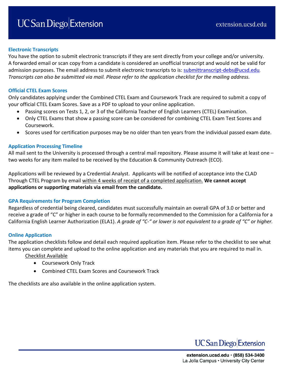### **Electronic Transcripts**

You have the option to submit electronic transcripts if they are sent directly from your college and/or university. A forwarded email or scan copy from a candidate is considered an unofficial transcript and would not be valid for admission purposes. The email address to submit electronic transcripts to is: [submittranscript-debs@ucsd.edu](mailto:submittranscript-debs@ucsd.edu). *Transcripts can also be submitted via mail. Please refer to the application checklist for the mailing address.* 

#### **Official CTEL Exam Scores**

Only candidates applying under the Combined CTEL Exam and Coursework Track are required to submit a copy of your official CTEL Exam Scores. Save as a PDF to upload to your online application.

- Passing scores on Tests 1, 2, or 3 of the California Teacher of English Learners (CTEL) Examination.
- Only CTEL Exams that show a passing score can be considered for combining CTEL Exam Test Scores and Coursework.
- Scores used for certification purposes may be no older than ten years from the individual passed exam date.

#### **Application Processing Timeline**

All mail sent to the University is processed through a central mail repository. Please assume it will take at least one – two weeks for any item mailed to be received by the Education & Community Outreach (ECO).

Applications will be reviewed by a Credential Analyst. Applicants will be notified of acceptance into the CLAD Through CTEL Program by email within 4 weeks of receipt of a completed application. **We cannot accept applications or supporting materials via email from the candidate.**

#### **GPA Requirements for Program Completion**

Regardless of credential being cleared, candidates must successfully maintain an overall GPA of 3.0 or better and receive a grade of "C" or higher in each course to be formally recommended to the Commission for a California for a California English Learner Authorization (ELA1). *A grade of "C-" or lower is not equivalent to a grade of "C" or higher.* 

# **Online Application**

The application checklists follow and detail each required application item. Please refer to the checklist to see what items you can complete and upload to the online application and any materials that you are required to mail in.

#### Checklist Available

- Coursework Only Track
- Combined CTEL Exam Scores and Coursework Track

The checklists are also available in the online application system.

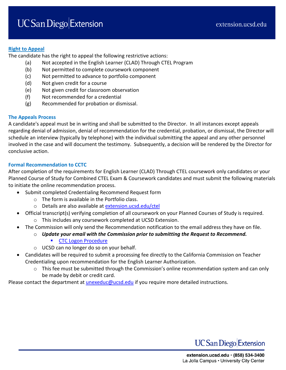### **Right to Appeal**

The candidate has the right to appeal the following restrictive actions:

- (a) Not accepted in the English Learner (CLAD) Through CTEL Program
- (b) Not permitted to complete coursework component
- (c) Not permitted to advance to portfolio component
- (d) Not given credit for a course
- (e) Not given credit for classroom observation
- (f) Not recommended for a credential
- (g) Recommended for probation or dismissal.

# **The Appeals Process**

A candidate's appeal must be in writing and shall be submitted to the Director. In all instances except appeals regarding denial of admission, denial of recommendation for the credential, probation, or dismissal, the Director will schedule an interview (typically by telephone) with the individual submitting the appeal and any other personnel involved in the case and will document the testimony. Subsequently, a decision will be rendered by the Director for conclusive action.

# **Formal Recommendation to CCTC**

After completion of the requirements for English Learner (CLAD) Through CTEL coursework only candidates or your Planned Course of Study for Combined CTEL Exam & Coursework candidates and must submit the following materials to initiate the online recommendation process.

- Submit completed Credentialing Recommend Request form
	- o The form is available in the Portfolio class.
	- o Details are also available at [extension.ucsd.edu/ctel](https://extension.ucsd.edu/courses-and-programs/clad-through-ctel)
- Official transcript(s) verifying completion of all coursework on your Planned Courses of Study is required.
	- o This includes any coursework completed at UCSD Extension.
- The Commission will only send the Recommendation notification to the email address they have on file.
	- o *Update your email with the Commission prior to submitting the Request to Recommend.*
		- **[CTC Logon Procedure](https://extension.ucsd.edu/UCSDExtension/files/77/77a8813e-300e-4778-b5b3-8aeeeeaf7f15.pdf)**
	- o UCSD can no longer do so on your behalf.
- Candidates will be required to submit a processing fee directly to the California Commission on Teacher Credentialing upon recommendation for the English Learner Authorization.
	- $\circ$  This fee must be submitted through the Commission's online recommendation system and can only be made by debit or credit card.

Please contact the department at *unexeduc@ucsd.edu* if you require more detailed instructions.

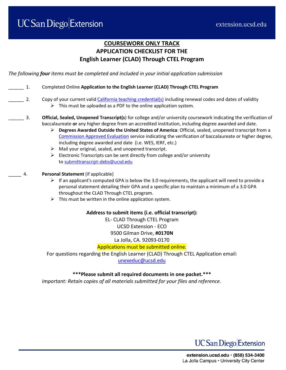# **COURSEWORK ONLY TRACK APPLICATION CHECKLIST FOR THE English Learner (CLAD) Through CTEL Program**

*The following four items must be completed and included in your initial application submission* 

- \_\_\_\_\_\_ 1. Completed Online **Application to the English Learner (CLAD) Through CTEL Program**
- 2. Copy of your current vali[d California teaching credential\(s\)](https://www.ctc.ca.gov/) including renewal codes and dates of validity  $\triangleright$  This must be uploaded as a PDF to the online application system.
- \_\_\_\_\_\_ 3. **Official, Sealed, Unopened Transcript(s**) for college and/or university coursework indicating the verification of baccalaureate **or** any higher degree from an accredited institution, including degree awarded and date.
	- **Degrees Awarded Outside the United States of America**: Official, sealed, unopened transcript from a [Commission Approved Evaluation](https://www.ctc.ca.gov/docs/default-source/leaflets/cl635.pdf) service indicating the verification of baccalaureate or higher degree, including degree awarded and date (i.e. WES, IERF, etc.)
	- $\triangleright$  Mail your original, sealed, and unopened transcript.
	- $\triangleright$  Electronic Transcripts can be sent directly from college and/or university to [submittranscript-debs@ucsd.edu](mailto:submittranscript-debs@ucsd.edu)
	- \_\_\_\_\_ 4. **Personal Statement** (if applicable)
		- $\triangleright$  If an applicant's computed GPA is below the 3.0 requirements, the applicant will need to provide a personal statement detailing their GPA and a specific plan to maintain a minimum of a 3.0 GPA throughout the CLAD Through CTEL program.
		- $\triangleright$  This must be written in the online application system.

#### **Address to submit items (i.e. official transcript):**

EL- CLAD Through CTEL Program UCSD Extension - ECO 9500 Gilman Drive, **#0170N** La Jolla, CA. 92093-0170

#### Applications must be submitted online.

For questions regarding the English Learner (CLAD) Through CTEL Application email: [unexeduc@ucsd.edu](mailto:unexeduc@ucsd.edu)

#### **\*\*\*Please submit all required documents in one packet.\*\*\***

*Important: Retain copies of all materials submitted for your files and reference.*